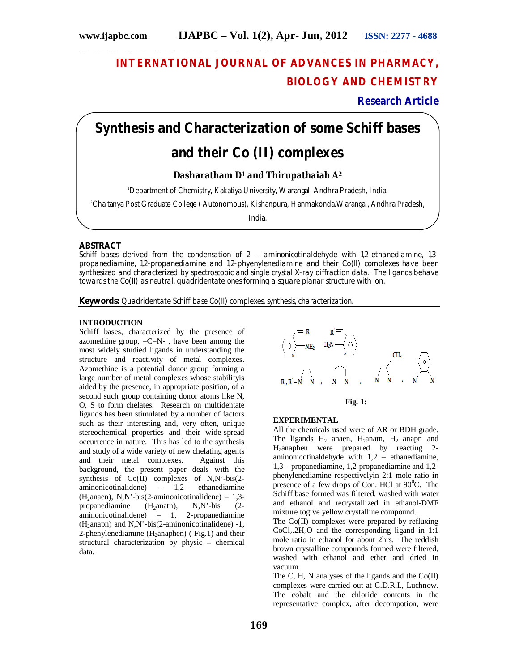## **INTERNATIONAL JOURNAL OF ADVANCES IN PHARMACY, BIOLOGY AND CHEMISTRY**

## **Research Article**

# **Synthesis and Characterization of some Schiff bases and their Co (II) complexes**

**\_\_\_\_\_\_\_\_\_\_\_\_\_\_\_\_\_\_\_\_\_\_\_\_\_\_\_\_\_\_\_\_\_\_\_\_\_\_\_\_\_\_\_\_\_\_\_\_\_\_\_\_\_\_\_\_\_\_\_\_\_\_\_\_\_\_\_\_\_\_\_\_\_\_\_**

## **Dasharatham D<sup>1</sup> and Thirupathaiah A<sup>2</sup>**

<sup>1</sup>Department of Chemistry, Kakatiya University, Warangal, Andhra Pradesh, India.

<sup>2</sup>Chaitanya Post Graduate College ( Autonomous), Kishanpura, Hanmakonda.Warangal, Andhra Pradesh,

India.

## **ABSTRACT**

Schiff bases derived from the condensation of 2 – aminonicotinaldehyde with 1,2-ethanediamine, 1,3 propanediamine, 1,2-propanediamine and 1,2-phyenylenediamine and their Co(II) complexes have been synthesized and characterized by spectroscopic and single crystal X-ray diffraction data. The ligands behave towards the Co(II) as neutral, quadridentate ones forming a square planar structure with ion.

**Keywords:** Quadridentate Schiff base Co(II) complexes, synthesis, characterization.

## **INTRODUCTION**

Schiff bases, characterized by the presence of azomethine group,  $=C=N-$ , have been among the most widely studied ligands in understanding the structure and reactivity of metal complexes. Azomethine is a potential donor group forming a large number of metal complexes whose stabilityis aided by the presence, in appropriate position, of a second such group containing donor atoms like N, O, S to form chelates. Research on multidentate ligands has been stimulated by a number of factors such as their interesting and, very often, unique stereochemical properties and their wide-spread occurrence in nature. This has led to the synthesis and study of a wide variety of new chelating agents and their metal complexes. Against this background, the present paper deals with the synthesis of Co(II) complexes of N,N'-bis(2 aminonicotinalidene) – 1,2- ethanediamine (H<sub>2</sub>anaen), N,N'-bis(2-aminonicotinalidene) – 1,3-<br>propanediamine (H<sub>2</sub>anatn), N.N'-bis (2propanediamine  $(H_2anat)$ , N,N'-bis (2aminonicotinalidene) – 1, 2-propanediamine  $(H_2anapn)$  and N,N'-bis(2-aminonicotinalidene) -1, 2-phenylenediamine  $(H_2$ anaphen) (Fig.1) and their structural characterization by physic – chemical data.





#### **EXPERIMENTAL**

All the chemicals used were of AR or BDH grade. The ligands  $H_2$  anaen,  $H_2$ anatn,  $H_2$  anapn and H2anaphen were prepared by reacting 2 aminonicotinaldehyde with 1,2 – ethanediamine, 1,3 – propanediamine, 1,2-propanediamine and 1,2 phenylenediamine respectivelyin 2:1 mole ratio in presence of a few drops of Con. HCl at  $90^{\circ}$ C. The Schiff base formed was filtered, washed with water and ethanol and recrystallized in ethanol-DMF mixture togive yellow crystalline compound.

The Co(II) complexes were prepared by refluxing  $CoCl<sub>2</sub>·2H<sub>2</sub>O$  and the corresponding ligand in 1:1 mole ratio in ethanol for about 2hrs. The reddish brown crystalline compounds formed were filtered, washed with ethanol and ether and dried in vacuum.

The C, H, N analyses of the ligands and the  $Co(II)$ complexes were carried out at C.D.R.I., Luchnow. The cobalt and the chloride contents in the representative complex, after decompotion, were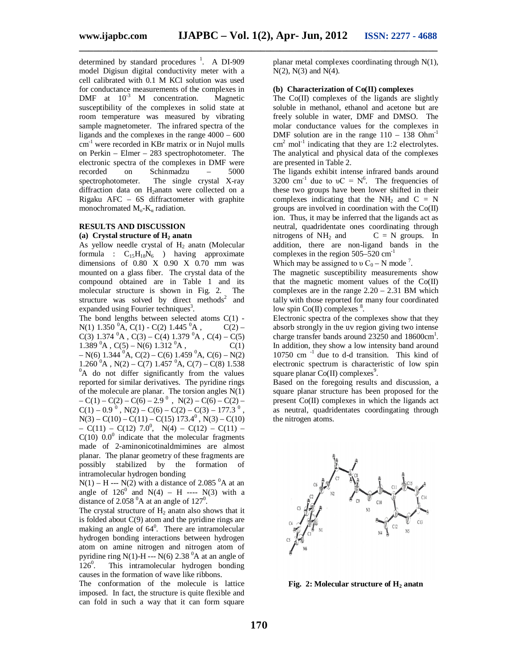**\_\_\_\_\_\_\_\_\_\_\_\_\_\_\_\_\_\_\_\_\_\_\_\_\_\_\_\_\_\_\_\_\_\_\_\_\_\_\_\_\_\_\_\_\_\_\_\_\_\_\_\_\_\_\_\_\_\_\_\_\_\_\_\_\_\_\_\_\_\_\_\_\_\_\_**

determined by standard procedures  $\frac{1}{1}$ . A DI-909 model Digisun digital conductivity meter with a cell calibrated with 0.1 M KCl solution was used for conductance measurements of the complexes in DMF at  $10^{-3}$  M concentration. Magnetic susceptibility of the complexes in solid state at room temperature was measured by vibrating sample magnetometer. The infrared spectra of the ligands and the complexes in the range 4000 – 600 cm-1 were recorded in KBr matrix or in Nujol mulls on Perkin – Elmer – 283 spectrophotometer. The electronic spectra of the complexes in DMF were recorded on Schinmadzu – 5000 spectrophotometer. The single crystal X-ray diffraction data on H<sub>2</sub>anatn were collected on a Rigaku AFC – 6S diffractometer with graphite monochromated  $M_0-K_\alpha$  radiation.

## **RESULTS AND DISCUSSION**

## **(a) Crystal structure of H<sup>2</sup> anatn**

As yellow needle crystal of  $H_2$  anatn (Molecular formula :  $C_{15}H_{18}N_6$  ) having approximate dimensions of  $0.80 \times 0.90 \times 0.70$  mm was mounted on a glass fiber. The crystal data of the compound obtained are in Table 1 and its molecular structure is shown in Fig. 2. The structure was solved by direct methods<sup>2</sup> and expanded using Fourier techniques<sup>3</sup>.

The bond lengths between selected atoms  $C(1)$  -N(1) 1.350  ${}^{0}$ A, C(1) - C(2) 1.445  ${}^{0}$ A, C(2) – C(3) 1.374  ${}^{0}$ A, C(3) – C(4) 1.379  ${}^{0}$ A, C(4) – C(5) 1.389  ${}^{0}$ A, C(5) – N(6) 1.312  ${}^{0}$ A, C(1)  $- N(6)$  1.344 <sup>0</sup>A, C(2) – C(6) 1.459 <sup>0</sup>A, C(6) – N(2)  $1.260<sup>0</sup>A$ , N(2) – C(7)  $1.457<sup>0</sup>A$ , C(7) – C(8)  $1.538$  ${}^{0}$ A do not differ significantly from the values reported for similar derivatives. The pyridine rings of the molecule are planar. The torsion angles  $N(1)$  $-C(1) - C(2) - C(6) - 2.9^0$ ,  $N(2) - C(6) - C(2) C(1) - 0.9^0$ ,  $N(2) - C(6) - C(2) - C(3) - 177.3^0$ ,  $N(3) - C(10) - C(11) - C(15)$  173.4<sup>0</sup>,  $N(3) - C(10)$  $- C(11) - C(12)$  7.0<sup>0</sup>, N(4) – C(12) – C(11) –  $C(10)$  0.0<sup>0</sup> indicate that the molecular fragments made of 2-aminonicotinaldmimines are almost planar. The planar geometry of these fragments are possibly stabilized by the formation of intramolecular hydrogen bonding

 $N(1) - H$  ---  $N(2)$  with a distance of 2.085 <sup>0</sup>A at an angle of  $126^{\circ}$  and  $N(4)$  – H ----  $N(3)$  with a distance of  $2.058<sup>0</sup>A$  at an angle of  $127<sup>0</sup>$ .

The crystal structure of  $H_2$  anatn also shows that it is folded about  $C(9)$  atom and the pyridine rings are making an angle of  $64^{\circ}$ . There are intramolecular hydrogen bonding interactions between hydrogen atom on amine nitrogen and nitrogen atom of pyridine ring N(1)-H --- N(6) 2.38  $^{0}$ A at an angle of  $126^{\circ}$ . . This intramolecular hydrogen bonding causes in the formation of wave like ribbons.

The conformation of the molecule is lattice imposed. In fact, the structure is quite flexible and can fold in such a way that it can form square

planar metal complexes coordinating through N(1), N(2), N(3) and N(4).

## **(b) Characterization of Co(II) complexes**

The Co(II) complexes of the ligands are slightly soluble in methanol, ethanol and acetone but are freely soluble in water, DMF and DMSO. The molar conductance values for the complexes in DMF solution are in the range  $110 - 138$  Ohm<sup>-1</sup>  $\text{cm}^2$  mol<sup>-1</sup> indicating that they are 1:2 electrolytes. The analytical and physical data of the complexes are presented in Table 2.

The ligands exhibit intense infrared bands around 3200 cm<sup>-1</sup> due to  $vC = N^6$ . The frequencies of these two groups have been lower shifted in their complexes indicating that the  $NH_2$  and  $C = N$ groups are involved in coordination with the  $Co(II)$ ion. Thus, it may be inferred that the ligands act as neutral, quadridentate ones coordinating through nitrogens of  $NH_2$  and  $C = N$  groups. In addition, there are non-ligand bands in the complexes in the region  $505-520$  cm<sup>-1</sup>

Which may be assigned to  $v C_0 - N$  mode<sup>7</sup>.

The magnetic susceptibility measurements show that the magnetic moment values of the  $Co(II)$ complexes are in the range  $2.20 - 2.31$  BM which tally with those reported for many four coordinated low spin  $Co(II)$  complexes  $8$ .

Electronic spectra of the complexes show that they absorb strongly in the uv region giving two intense charge transfer bands around  $23250$  and  $18600 \text{cm}^1$ . In addition, they show a low intensity band around 10750 cm -1 due to d-d transition. This kind of electronic spectrum is characteristic of low spin square planar  $Co(II)$  complexes<sup>9</sup>.

Based on the foregoing results and discussion, a square planar structure has been proposed for the present Co(II) complexes in which the ligands act as neutral, quadridentates coordingating through the nitrogen atoms.



**Fig. 2: Molecular structure of H<sup>2</sup> anatn**